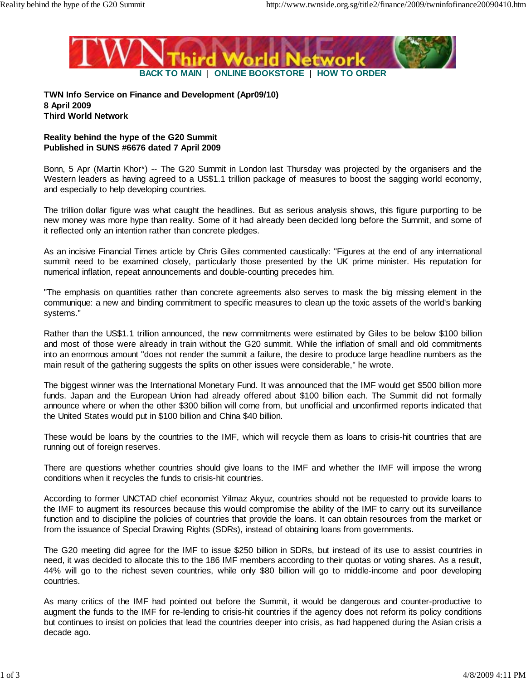

**TWN Info Service on Finance and Development (Apr09/10) 8 April 2009 Third World Network**

## **Reality behind the hype of the G20 Summit Published in SUNS #6676 dated 7 April 2009**

Bonn, 5 Apr (Martin Khor\*) -- The G20 Summit in London last Thursday was projected by the organisers and the Western leaders as having agreed to a US\$1.1 trillion package of measures to boost the sagging world economy, and especially to help developing countries.

The trillion dollar figure was what caught the headlines. But as serious analysis shows, this figure purporting to be new money was more hype than reality. Some of it had already been decided long before the Summit, and some of it reflected only an intention rather than concrete pledges.

As an incisive Financial Times article by Chris Giles commented caustically: "Figures at the end of any international summit need to be examined closely, particularly those presented by the UK prime minister. His reputation for numerical inflation, repeat announcements and double-counting precedes him.

"The emphasis on quantities rather than concrete agreements also serves to mask the big missing element in the communique: a new and binding commitment to specific measures to clean up the toxic assets of the world's banking systems."

Rather than the US\$1.1 trillion announced, the new commitments were estimated by Giles to be below \$100 billion and most of those were already in train without the G20 summit. While the inflation of small and old commitments into an enormous amount "does not render the summit a failure, the desire to produce large headline numbers as the main result of the gathering suggests the splits on other issues were considerable," he wrote.

The biggest winner was the International Monetary Fund. It was announced that the IMF would get \$500 billion more funds. Japan and the European Union had already offered about \$100 billion each. The Summit did not formally announce where or when the other \$300 billion will come from, but unofficial and unconfirmed reports indicated that the United States would put in \$100 billion and China \$40 billion.

These would be loans by the countries to the IMF, which will recycle them as loans to crisis-hit countries that are running out of foreign reserves.

There are questions whether countries should give loans to the IMF and whether the IMF will impose the wrong conditions when it recycles the funds to crisis-hit countries.

According to former UNCTAD chief economist Yilmaz Akyuz, countries should not be requested to provide loans to the IMF to augment its resources because this would compromise the ability of the IMF to carry out its surveillance function and to discipline the policies of countries that provide the loans. It can obtain resources from the market or from the issuance of Special Drawing Rights (SDRs), instead of obtaining loans from governments.

The G20 meeting did agree for the IMF to issue \$250 billion in SDRs, but instead of its use to assist countries in need, it was decided to allocate this to the 186 IMF members according to their quotas or voting shares. As a result, 44% will go to the richest seven countries, while only \$80 billion will go to middle-income and poor developing countries.

As many critics of the IMF had pointed out before the Summit, it would be dangerous and counter-productive to augment the funds to the IMF for re-lending to crisis-hit countries if the agency does not reform its policy conditions but continues to insist on policies that lead the countries deeper into crisis, as had happened during the Asian crisis a decade ago.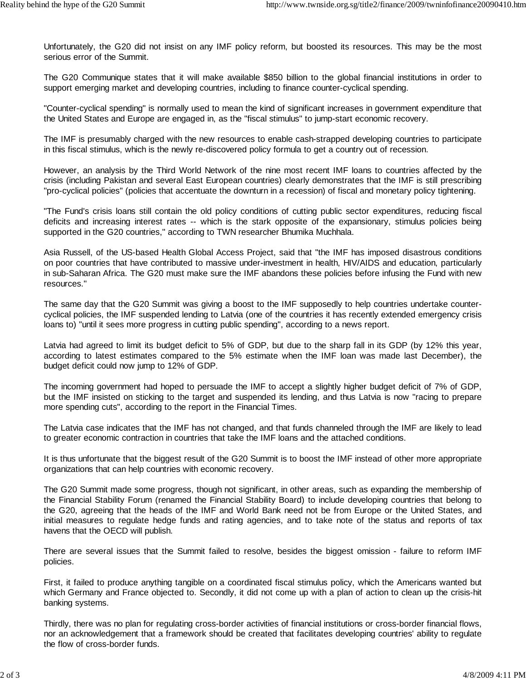Unfortunately, the G20 did not insist on any IMF policy reform, but boosted its resources. This may be the most serious error of the Summit.

The G20 Communique states that it will make available \$850 billion to the global financial institutions in order to support emerging market and developing countries, including to finance counter-cyclical spending.

"Counter-cyclical spending" is normally used to mean the kind of significant increases in government expenditure that the United States and Europe are engaged in, as the "fiscal stimulus" to jump-start economic recovery.

The IMF is presumably charged with the new resources to enable cash-strapped developing countries to participate in this fiscal stimulus, which is the newly re-discovered policy formula to get a country out of recession.

However, an analysis by the Third World Network of the nine most recent IMF loans to countries affected by the crisis (including Pakistan and several East European countries) clearly demonstrates that the IMF is still prescribing "pro-cyclical policies" (policies that accentuate the downturn in a recession) of fiscal and monetary policy tightening.

"The Fund's crisis loans still contain the old policy conditions of cutting public sector expenditures, reducing fiscal deficits and increasing interest rates -- which is the stark opposite of the expansionary, stimulus policies being supported in the G20 countries," according to TWN researcher Bhumika Muchhala.

Asia Russell, of the US-based Health Global Access Project, said that "the IMF has imposed disastrous conditions on poor countries that have contributed to massive under-investment in health, HIV/AIDS and education, particularly in sub-Saharan Africa. The G20 must make sure the IMF abandons these policies before infusing the Fund with new resources."

The same day that the G20 Summit was giving a boost to the IMF supposedly to help countries undertake countercyclical policies, the IMF suspended lending to Latvia (one of the countries it has recently extended emergency crisis loans to) "until it sees more progress in cutting public spending", according to a news report.

Latvia had agreed to limit its budget deficit to 5% of GDP, but due to the sharp fall in its GDP (by 12% this year, according to latest estimates compared to the 5% estimate when the IMF loan was made last December), the budget deficit could now jump to 12% of GDP.

The incoming government had hoped to persuade the IMF to accept a slightly higher budget deficit of 7% of GDP, but the IMF insisted on sticking to the target and suspended its lending, and thus Latvia is now "racing to prepare more spending cuts", according to the report in the Financial Times.

The Latvia case indicates that the IMF has not changed, and that funds channeled through the IMF are likely to lead to greater economic contraction in countries that take the IMF loans and the attached conditions.

It is thus unfortunate that the biggest result of the G20 Summit is to boost the IMF instead of other more appropriate organizations that can help countries with economic recovery.

The G20 Summit made some progress, though not significant, in other areas, such as expanding the membership of the Financial Stability Forum (renamed the Financial Stability Board) to include developing countries that belong to the G20, agreeing that the heads of the IMF and World Bank need not be from Europe or the United States, and initial measures to regulate hedge funds and rating agencies, and to take note of the status and reports of tax havens that the OECD will publish.

There are several issues that the Summit failed to resolve, besides the biggest omission - failure to reform IMF policies.

First, it failed to produce anything tangible on a coordinated fiscal stimulus policy, which the Americans wanted but which Germany and France objected to. Secondly, it did not come up with a plan of action to clean up the crisis-hit banking systems.

Thirdly, there was no plan for regulating cross-border activities of financial institutions or cross-border financial flows, nor an acknowledgement that a framework should be created that facilitates developing countries' ability to regulate the flow of cross-border funds.